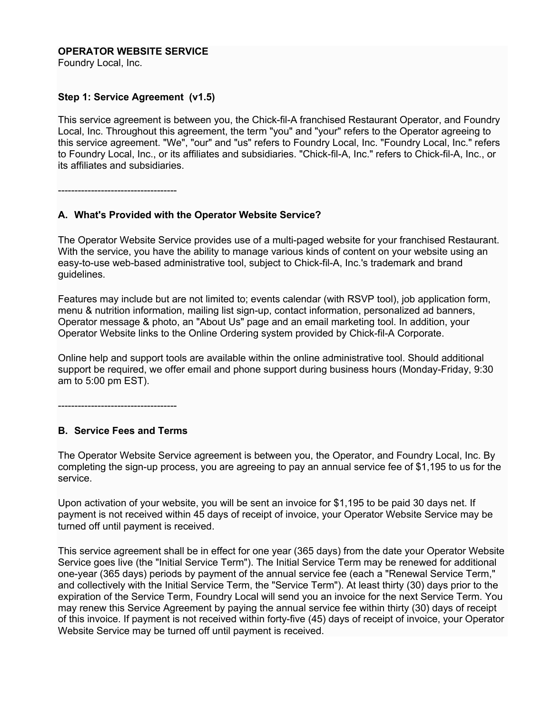### **OPERATOR WEBSITE SERVICE**

Foundry Local, Inc.

#### **Step 1: Service Agreement (v1.5)**

This service agreement is between you, the Chick-fil-A franchised Restaurant Operator, and Foundry Local, Inc. Throughout this agreement, the term "you" and "your" refers to the Operator agreeing to this service agreement. "We", "our" and "us" refers to Foundry Local, Inc. "Foundry Local, Inc." refers to Foundry Local, Inc., or its affiliates and subsidiaries. "Chick-fil-A, Inc." refers to Chick-fil-A, Inc., or its affiliates and subsidiaries.

------------------------------------

#### **A. What's Provided with the Operator Website Service?**

The Operator Website Service provides use of a multi-paged website for your franchised Restaurant. With the service, you have the ability to manage various kinds of content on your website using an easy-to-use web-based administrative tool, subject to Chick-fil-A, Inc.'s trademark and brand guidelines.

Features may include but are not limited to; events calendar (with RSVP tool), job application form, menu & nutrition information, mailing list sign-up, contact information, personalized ad banners, Operator message & photo, an "About Us" page and an email marketing tool. In addition, your Operator Website links to the Online Ordering system provided by Chick-fil-A Corporate.

Online help and support tools are available within the online administrative tool. Should additional support be required, we offer email and phone support during business hours (Monday-Friday, 9:30 am to 5:00 pm EST).

------------------------------------

#### **B. Service Fees and Terms**

The Operator Website Service agreement is between you, the Operator, and Foundry Local, Inc. By completing the sign-up process, you are agreeing to pay an annual service fee of \$1,195 to us for the service.

Upon activation of your website, you will be sent an invoice for \$1,195 to be paid 30 days net. If payment is not received within 45 days of receipt of invoice, your Operator Website Service may be turned off until payment is received.

This service agreement shall be in effect for one year (365 days) from the date your Operator Website Service goes live (the "Initial Service Term"). The Initial Service Term may be renewed for additional one-year (365 days) periods by payment of the annual service fee (each a "Renewal Service Term," and collectively with the Initial Service Term, the "Service Term"). At least thirty (30) days prior to the expiration of the Service Term, Foundry Local will send you an invoice for the next Service Term. You may renew this Service Agreement by paying the annual service fee within thirty (30) days of receipt of this invoice. If payment is not received within forty-five (45) days of receipt of invoice, your Operator Website Service may be turned off until payment is received.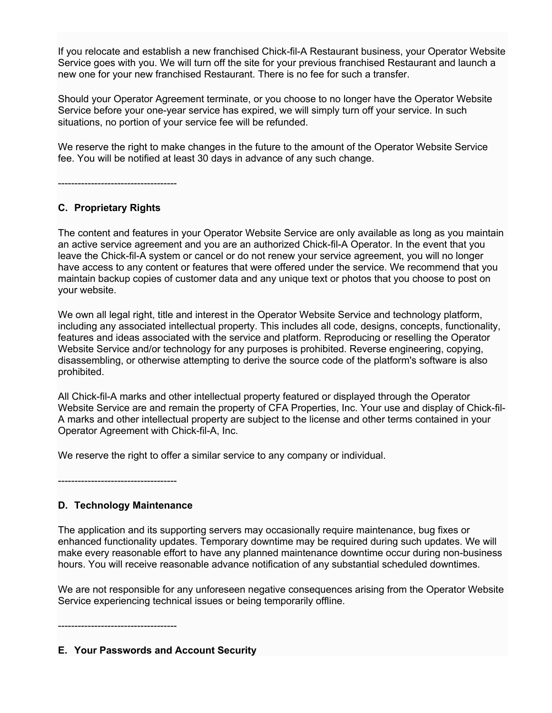If you relocate and establish a new franchised Chick-fil-A Restaurant business, your Operator Website Service goes with you. We will turn off the site for your previous franchised Restaurant and launch a new one for your new franchised Restaurant. There is no fee for such a transfer.

Should your Operator Agreement terminate, or you choose to no longer have the Operator Website Service before your one-year service has expired, we will simply turn off your service. In such situations, no portion of your service fee will be refunded.

We reserve the right to make changes in the future to the amount of the Operator Website Service fee. You will be notified at least 30 days in advance of any such change.

------------------------------------

# **C. Proprietary Rights**

The content and features in your Operator Website Service are only available as long as you maintain an active service agreement and you are an authorized Chick-fil-A Operator. In the event that you leave the Chick-fil-A system or cancel or do not renew your service agreement, you will no longer have access to any content or features that were offered under the service. We recommend that you maintain backup copies of customer data and any unique text or photos that you choose to post on your website.

We own all legal right, title and interest in the Operator Website Service and technology platform, including any associated intellectual property. This includes all code, designs, concepts, functionality, features and ideas associated with the service and platform. Reproducing or reselling the Operator Website Service and/or technology for any purposes is prohibited. Reverse engineering, copying, disassembling, or otherwise attempting to derive the source code of the platform's software is also prohibited.

All Chick-fil-A marks and other intellectual property featured or displayed through the Operator Website Service are and remain the property of CFA Properties, Inc. Your use and display of Chick-fil-A marks and other intellectual property are subject to the license and other terms contained in your Operator Agreement with Chick-fil-A, Inc.

We reserve the right to offer a similar service to any company or individual.

------------------------------------

# **D. Technology Maintenance**

The application and its supporting servers may occasionally require maintenance, bug fixes or enhanced functionality updates. Temporary downtime may be required during such updates. We will make every reasonable effort to have any planned maintenance downtime occur during non-business hours. You will receive reasonable advance notification of any substantial scheduled downtimes.

We are not responsible for any unforeseen negative consequences arising from the Operator Website Service experiencing technical issues or being temporarily offline.

------------------------------------

**E. Your Passwords and Account Security**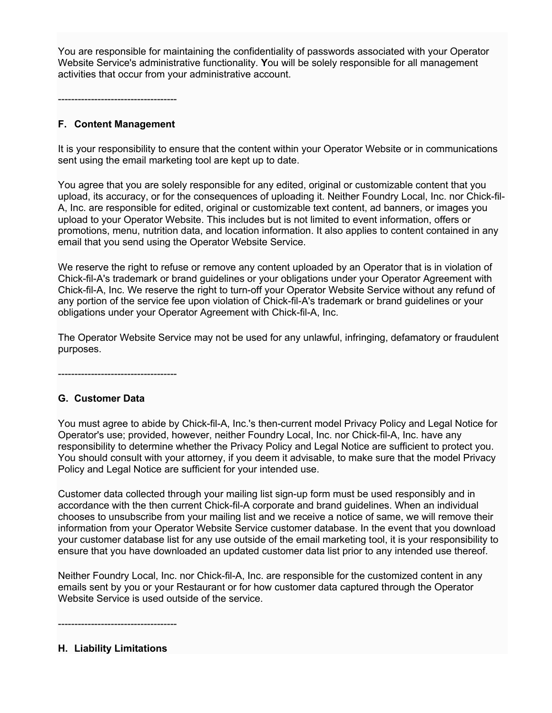You are responsible for maintaining the confidentiality of passwords associated with your Operator Website Service's administrative functionality. **Y**ou will be solely responsible for all management activities that occur from your administrative account.

------------------------------------

## **F. Content Management**

It is your responsibility to ensure that the content within your Operator Website or in communications sent using the email marketing tool are kept up to date.

You agree that you are solely responsible for any edited, original or customizable content that you upload, its accuracy, or for the consequences of uploading it. Neither Foundry Local, Inc. nor Chick-fil-A, Inc. are responsible for edited, original or customizable text content, ad banners, or images you upload to your Operator Website. This includes but is not limited to event information, offers or promotions, menu, nutrition data, and location information. It also applies to content contained in any email that you send using the Operator Website Service.

We reserve the right to refuse or remove any content uploaded by an Operator that is in violation of Chick-fil-A's trademark or brand guidelines or your obligations under your Operator Agreement with Chick-fil-A, Inc. We reserve the right to turn-off your Operator Website Service without any refund of any portion of the service fee upon violation of Chick-fil-A's trademark or brand guidelines or your obligations under your Operator Agreement with Chick-fil-A, Inc.

The Operator Website Service may not be used for any unlawful, infringing, defamatory or fraudulent purposes.

------------------------------------

# **G. Customer Data**

You must agree to abide by Chick-fil-A, Inc.'s then-current model Privacy Policy and Legal Notice for Operator's use; provided, however, neither Foundry Local, Inc. nor Chick-fil-A, Inc. have any responsibility to determine whether the Privacy Policy and Legal Notice are sufficient to protect you. You should consult with your attorney, if you deem it advisable, to make sure that the model Privacy Policy and Legal Notice are sufficient for your intended use.

Customer data collected through your mailing list sign-up form must be used responsibly and in accordance with the then current Chick-fil-A corporate and brand guidelines. When an individual chooses to unsubscribe from your mailing list and we receive a notice of same, we will remove their information from your Operator Website Service customer database. In the event that you download your customer database list for any use outside of the email marketing tool, it is your responsibility to ensure that you have downloaded an updated customer data list prior to any intended use thereof.

Neither Foundry Local, Inc. nor Chick-fil-A, Inc. are responsible for the customized content in any emails sent by you or your Restaurant or for how customer data captured through the Operator Website Service is used outside of the service.

------------------------------------

### **H. Liability Limitations**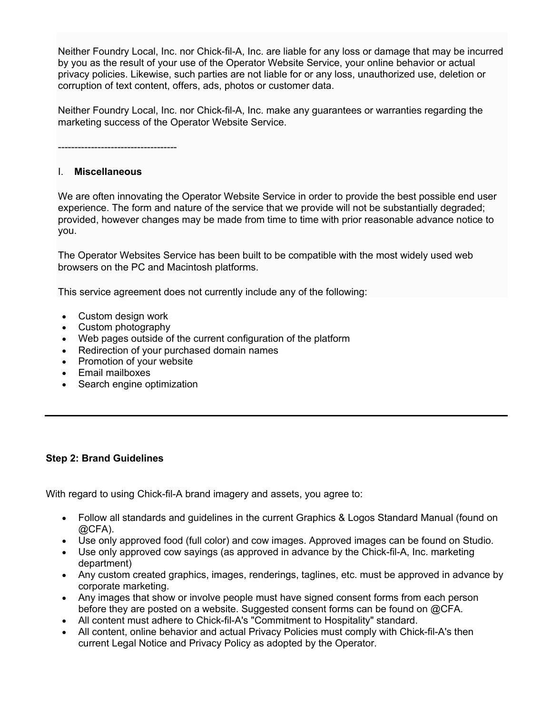Neither Foundry Local, Inc. nor Chick-fil-A, Inc. are liable for any loss or damage that may be incurred by you as the result of your use of the Operator Website Service, your online behavior or actual privacy policies. Likewise, such parties are not liable for or any loss, unauthorized use, deletion or corruption of text content, offers, ads, photos or customer data.

Neither Foundry Local, Inc. nor Chick-fil-A, Inc. make any guarantees or warranties regarding the marketing success of the Operator Website Service.

------------------------------------

#### I. **Miscellaneous**

We are often innovating the Operator Website Service in order to provide the best possible end user experience. The form and nature of the service that we provide will not be substantially degraded; provided, however changes may be made from time to time with prior reasonable advance notice to you.

The Operator Websites Service has been built to be compatible with the most widely used web browsers on the PC and Macintosh platforms.

This service agreement does not currently include any of the following:

- Custom design work
- Custom photography
- Web pages outside of the current configuration of the platform
- Redirection of your purchased domain names
- Promotion of your website
- Email mailboxes
- Search engine optimization

### **Step 2: Brand Guidelines**

With regard to using Chick-fil-A brand imagery and assets, you agree to:

- Follow all standards and guidelines in the current Graphics & Logos Standard Manual (found on @CFA).
- Use only approved food (full color) and cow images. Approved images can be found on Studio.
- Use only approved cow sayings (as approved in advance by the Chick-fil-A, Inc. marketing department)
- Any custom created graphics, images, renderings, taglines, etc. must be approved in advance by corporate marketing.
- Any images that show or involve people must have signed consent forms from each person before they are posted on a website. Suggested consent forms can be found on @CFA.
- All content must adhere to Chick-fil-A's "Commitment to Hospitality" standard.
- All content, online behavior and actual Privacy Policies must comply with Chick-fil-A's then current Legal Notice and Privacy Policy as adopted by the Operator.